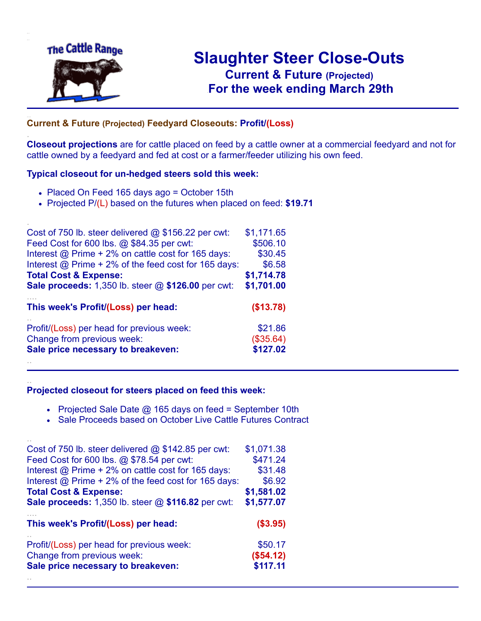

.

..

# **Slaughter Steer Close-Outs Current & Future (Projected)** .**For the week ending March 29th**

## ... **Current & Future (Projected) Feedyard Closeouts: Profit/(Loss)**

**Closeout projections** are for cattle placed on feed by a cattle owner at a commercial feedyard and not for cattle owned by a feedyard and fed at cost or a farmer/feeder utilizing his own feed.

#### **Typical closeout for un-hedged steers sold this week:**

- Placed On Feed 165 days ago = October 15th
- Projected P/(L) based on the futures when placed on feed: **\$19.71**

| Cost of 750 lb. steer delivered $@$ \$156.22 per cwt:     | \$1,171.65 |
|-----------------------------------------------------------|------------|
| Feed Cost for 600 lbs. @ \$84.35 per cwt:                 | \$506.10   |
| Interest @ Prime + 2% on cattle cost for 165 days:        | \$30.45    |
| Interest @ Prime + 2% of the feed cost for 165 days:      | \$6.58     |
| <b>Total Cost &amp; Expense:</b>                          | \$1,714.78 |
| <b>Sale proceeds:</b> 1,350 lb. steer @ \$126.00 per cwt: | \$1,701.00 |
| This week's Profit/(Loss) per head:                       | (\$13.78)  |
| Profit/(Loss) per head for previous week:                 | \$21.86    |
| Change from previous week:                                | (\$35.64)  |
| Sale price necessary to breakeven:                        | \$127.02   |
|                                                           |            |

#### **Projected closeout for steers placed on feed this week:**

- Projected Sale Date @ 165 days on feed = September 10th
- Sale Proceeds based on October Live Cattle Futures Contract

| Cost of 750 lb. steer delivered $@$ \$142.85 per cwt:     | \$1,071.38 |
|-----------------------------------------------------------|------------|
| Feed Cost for 600 lbs. @ \$78.54 per cwt:                 | \$471.24   |
| Interest @ Prime + 2% on cattle cost for 165 days:        | \$31.48    |
| Interest @ Prime + 2% of the feed cost for 165 days:      | \$6.92     |
| <b>Total Cost &amp; Expense:</b>                          | \$1,581.02 |
| <b>Sale proceeds:</b> 1,350 lb. steer @ \$116.82 per cwt: | \$1,577.07 |
|                                                           |            |
| This week's Profit/(Loss) per head:                       | ( \$3.95)  |
| Profit/(Loss) per head for previous week:                 | \$50.17    |
| Change from previous week:                                | (\$54.12)  |
| Sale price necessary to breakeven:                        | \$117.11   |